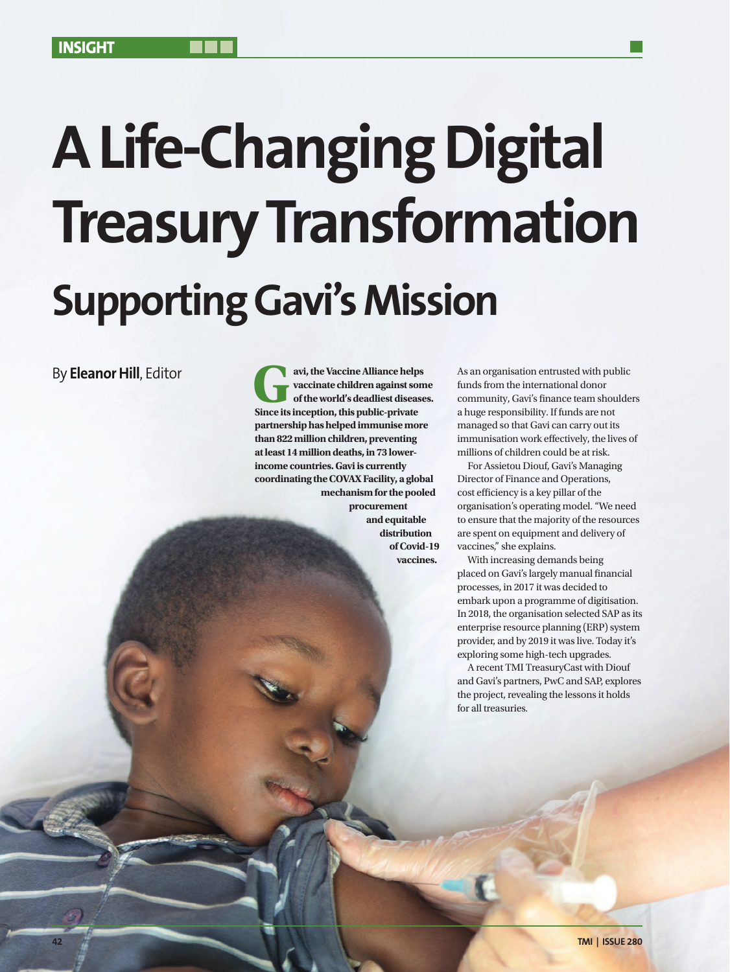# **A Life-Changing Digital Treasury Transformation Supporting Gavi's Mission**

By **Eleanor Hill**, Editor

**Gavi, the Vaccine Alliance helps vaccinate children against som of the world's deadliest disease Since its inception, this public-private vaccinate children against some of the world's deadliest diseases. partnership has helped immunise more than 822 million children, preventing at least 14 million deaths, in 73 lowerincome countries. Gavi is currently coordinating the COVAX Facility, a global mechanism for the pooled procurement and equitable distribution of Covid-19 vaccines.**

As an organisation entrusted with public funds from the international donor community, Gavi's finance team shoulders a huge responsibility. If funds are not managed so that Gavi can carry out its immunisation work effectively, the lives of millions of children could be at risk.

For Assietou Diouf, Gavi's Managing Director of Finance and Operations, cost efficiency is a key pillar of the organisation's operating model. "We need to ensure that the majority of the resources are spent on equipment and delivery of vaccines," she explains.

With increasing demands being placed on Gavi's largely manual financial processes, in 2017 it was decided to embark upon a programme of digitisation. In 2018, the organisation selected SAP as its enterprise resource planning (ERP) system provider, and by 2019 it was live. Today it's exploring some high-tech upgrades.

A recent TMI TreasuryCast with Diouf and Gavi's partners, PwC and SAP, explores the project, revealing the lessons it holds for all treasuries.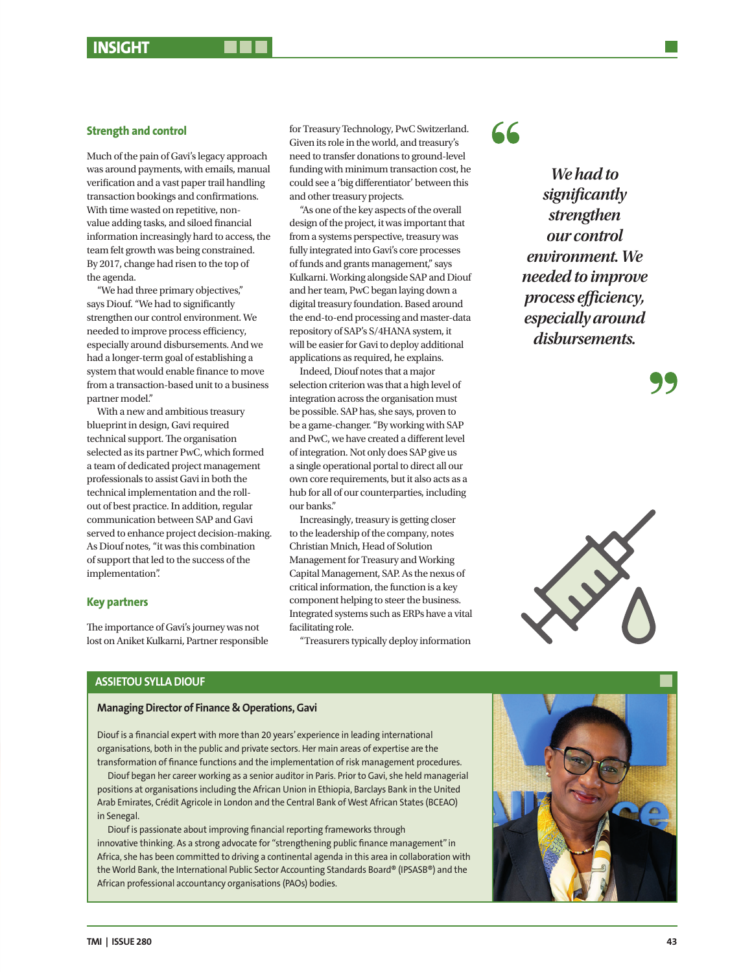#### **Strength and control**

Much of the pain of Gavi's legacy approach was around payments, with emails, manual verification and a vast paper trail handling transaction bookings and confirmations. With time wasted on repetitive, nonvalue adding tasks, and siloed financial information increasingly hard to access, the team felt growth was being constrained. By 2017, change had risen to the top of the agenda.

"We had three primary objectives," says Diouf. "We had to significantly strengthen our control environment. We needed to improve process efficiency, especially around disbursements. And we had a longer-term goal of establishing a system that would enable finance to move from a transaction-based unit to a business partner model."

With a new and ambitious treasury blueprint in design, Gavi required technical support. The organisation selected as its partner PwC, which formed a team of dedicated project management professionals to assist Gavi in both the technical implementation and the rollout of best practice. In addition, regular communication between SAP and Gavi served to enhance project decision-making. As Diouf notes, "it was this combination of support that led to the success of the implementation".

#### **Key partners**

The importance of Gavi's journey was not lost on Aniket Kulkarni, Partner responsible for Treasury Technology, PwC Switzerland. Given its role in the world, and treasury's need to transfer donations to ground-level funding with minimum transaction cost, he could see a 'big differentiator' between this and other treasury projects.

"As one of the key aspects of the overall design of the project, it was important that from a systems perspective, treasury was fully integrated into Gavi's core processes of funds and grants management," says Kulkarni. Working alongside SAP and Diouf and her team, PwC began laying down a digital treasury foundation. Based around the end-to-end processing and master-data repository of SAP's S/4HANA system, it will be easier for Gavi to deploy additional applications as required, he explains.

Indeed, Diouf notes that a major selection criterion was that a high level of integration across the organisation must be possible. SAP has, she says, proven to be a game-changer. "By working with SAP and PwC, we have created a different level of integration. Not only does SAP give us a single operational portal to direct all our own core requirements, but it also acts as a hub for all of our counterparties, including our banks."

Increasingly, treasury is getting closer to the leadership of the company, notes Christian Mnich, Head of Solution Management for Treasury and Working Capital Management, SAP. As the nexus of critical information, the function is a key component helping to steer the business. Integrated systems such as ERPs have a vital facilitating role.

"Treasurers typically deploy information

 $66$ 

*We had to significantly strengthen our control environment. We needed to improve process efficiency, especially around disbursements.* 





## **ASSIETOU SYLLA DIOUF**

#### **Managing Director of Finance & Operations, Gavi**

Diouf is a financial expert with more than 20 years' experience in leading international organisations, both in the public and private sectors. Her main areas of expertise are the transformation of finance functions and the implementation of risk management procedures.

Diouf began her career working as a senior auditor in Paris. Prior to Gavi, she held managerial positions at organisations including the African Union in Ethiopia, Barclays Bank in the United Arab Emirates, Crédit Agricole in London and the Central Bank of West African States (BCEAO) in Senegal.

Diouf is passionate about improving financial reporting frameworks through innovative thinking. As a strong advocate for "strengthening public finance management" in Africa, she has been committed to driving a continental agenda in this area in collaboration with the World Bank, the International Public Sector Accounting Standards Board® (IPSASB®) and the African professional accountancy organisations (PAOs) bodies.

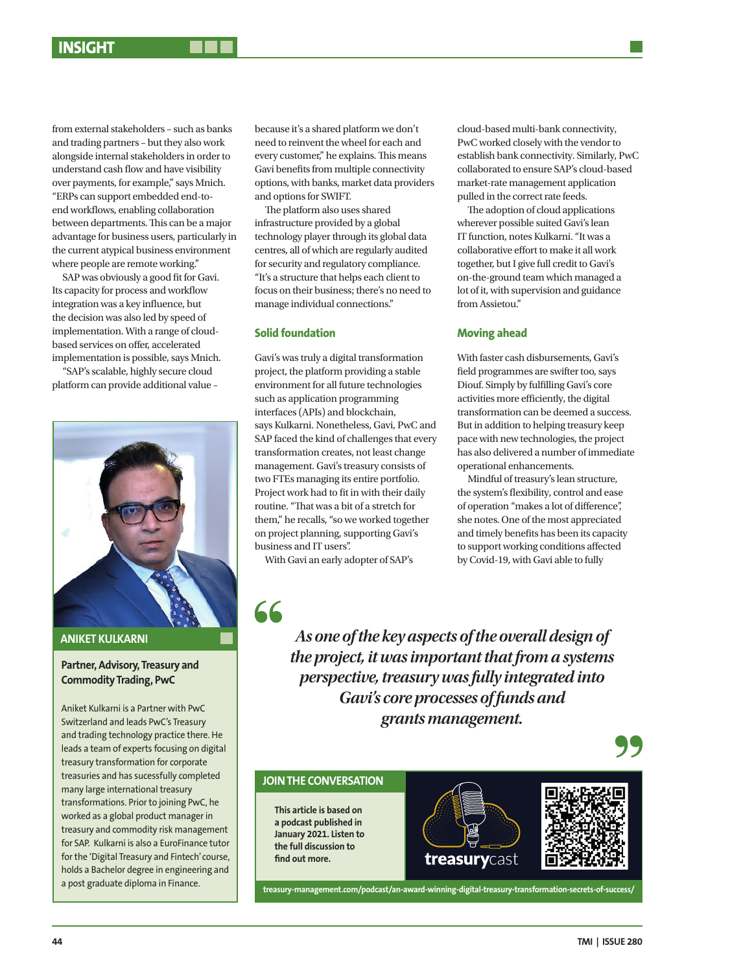from external stakeholders – such as banks and trading partners – but they also work alongside internal stakeholders in order to understand cash flow and have visibility over payments, for example," says Mnich. "ERPs can support embedded end-toend workflows, enabling collaboration between departments. This can be a major advantage for business users, particularly in the current atypical business environment where people are remote working."

SAP was obviously a good fit for Gavi. Its capacity for process and workflow integration was a key influence, but the decision was also led by speed of implementation. With a range of cloudbased services on offer, accelerated implementation is possible, says Mnich.

"SAP's scalable, highly secure cloud platform can provide additional value –



**ANIKET KULKARNI**

#### **Partner, Advisory, Treasury and Commodity Trading, PwC**

Aniket Kulkarni is a Partner with PwC Switzerland and leads PwC's Treasury and trading technology practice there. He leads a team of experts focusing on digital treasury transformation for corporate treasuries and has sucessfully completed many large international treasury transformations. Prior to joining PwC, he worked as a global product manager in treasury and commodity risk management for SAP. Kulkarni is also a EuroFinance tutor for the 'Digital Treasury and Fintech' course, holds a Bachelor degree in engineering and a post graduate diploma in Finance.

because it's a shared platform we don't need to reinvent the wheel for each and every customer," he explains. This means Gavi benefits from multiple connectivity options, with banks, market data providers and options for SWIFT.

The platform also uses shared infrastructure provided by a global technology player through its global data centres, all of which are regularly audited for security and regulatory compliance. "It's a structure that helps each client to focus on their business; there's no need to manage individual connections."

#### **Solid foundation**

Gavi's was truly a digital transformation project, the platform providing a stable environment for all future technologies such as application programming interfaces (APIs) and blockchain, says Kulkarni. Nonetheless, Gavi, PwC and SAP faced the kind of challenges that every transformation creates, not least change management. Gavi's treasury consists of two FTEs managing its entire portfolio. Project work had to fit in with their daily routine. "That was a bit of a stretch for them," he recalls, "so we worked together on project planning, supporting Gavi's business and IT users".

With Gavi an early adopter of SAP's

66

**find out more.** 

cloud-based multi-bank connectivity, PwC worked closely with the vendor to establish bank connectivity. Similarly, PwC collaborated to ensure SAP's cloud-based market-rate management application pulled in the correct rate feeds.

The adoption of cloud applications wherever possible suited Gavi's lean IT function, notes Kulkarni. "It was a collaborative effort to make it all work together, but I give full credit to Gavi's on-the-ground team which managed a lot of it, with supervision and guidance from Assietou."

#### **Moving ahead**

With faster cash disbursements, Gavi's field programmes are swifter too, says Diouf. Simply by fulfilling Gavi's core activities more efficiently, the digital transformation can be deemed a success. But in addition to helping treasury keep pace with new technologies, the project has also delivered a number of immediate operational enhancements.

Mindful of treasury's lean structure, the system's flexibility, control and ease of operation "makes a lot of difference", she notes. One of the most appreciated and timely benefits has been its capacity to support working conditions affected by Covid-19, with Gavi able to fully

*As one of the key aspects of the overall design of the project, it was important that from a systems perspective, treasury was fully integrated into Gavi's core processes of funds and grants management.*

# **JOIN THE CONVERSATION This article is based on a podcast published in January 2021. Listen to the full discussion to**  treasurycast

**treasury-management.com/podcast/an-award-winning-digital-treasury-transformation-secrets-of-success/**